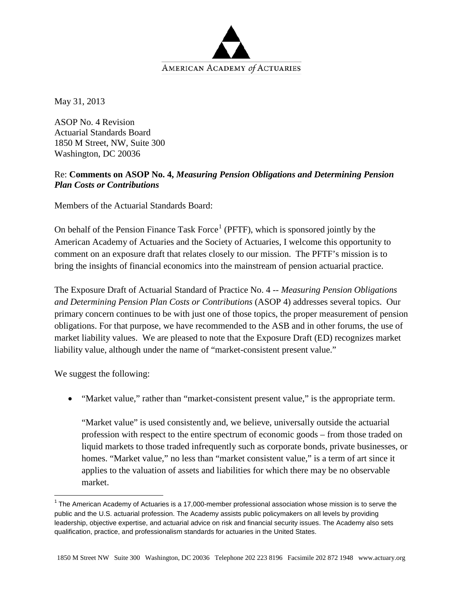

May 31, 2013

ASOP No. 4 Revision Actuarial Standards Board 1850 M Street, NW, Suite 300 Washington, DC 20036

## Re: **Comments on ASOP No. 4,** *Measuring Pension Obligations and Determining Pension Plan Costs or Contributions*

Members of the Actuarial Standards Board:

On behalf of the Pension Finance Task Force<sup>[1](#page-0-0)</sup> (PFTF), which is sponsored jointly by the American Academy of Actuaries and the Society of Actuaries, I welcome this opportunity to comment on an exposure draft that relates closely to our mission. The PFTF's mission is to bring the insights of financial economics into the mainstream of pension actuarial practice.

The Exposure Draft of Actuarial Standard of Practice No. 4 -- *Measuring Pension Obligations and Determining Pension Plan Costs or Contributions* (ASOP 4) addresses several topics. Our primary concern continues to be with just one of those topics, the proper measurement of pension obligations. For that purpose, we have recommended to the ASB and in other forums, the use of market liability values. We are pleased to note that the Exposure Draft (ED) recognizes market liability value, although under the name of "market-consistent present value."

We suggest the following:

• "Market value," rather than "market-consistent present value," is the appropriate term.

"Market value" is used consistently and, we believe, universally outside the actuarial profession with respect to the entire spectrum of economic goods – from those traded on liquid markets to those traded infrequently such as corporate bonds, private businesses, or homes. "Market value," no less than "market consistent value," is a term of art since it applies to the valuation of assets and liabilities for which there may be no observable market.

<span id="page-0-0"></span> $1$  The American Academy of Actuaries is a 17,000-member professional association whose mission is to serve the public and the U.S. actuarial profession. The Academy assists public policymakers on all levels by providing leadership, objective expertise, and actuarial advice on risk and financial security issues. The Academy also sets qualification, practice, and professionalism standards for actuaries in the United States.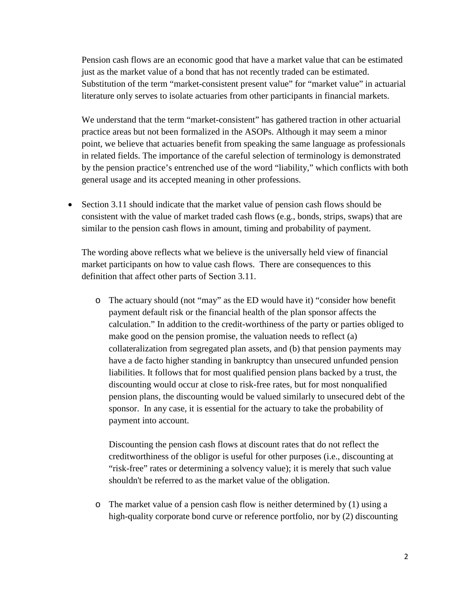Pension cash flows are an economic good that have a market value that can be estimated just as the market value of a bond that has not recently traded can be estimated. Substitution of the term "market-consistent present value" for "market value" in actuarial literature only serves to isolate actuaries from other participants in financial markets.

We understand that the term "market-consistent" has gathered traction in other actuarial practice areas but not been formalized in the ASOPs. Although it may seem a minor point, we believe that actuaries benefit from speaking the same language as professionals in related fields. The importance of the careful selection of terminology is demonstrated by the pension practice's entrenched use of the word "liability," which conflicts with both general usage and its accepted meaning in other professions.

• Section 3.11 should indicate that the market value of pension cash flows should be consistent with the value of market traded cash flows (e.g., bonds, strips, swaps) that are similar to the pension cash flows in amount, timing and probability of payment.

The wording above reflects what we believe is the universally held view of financial market participants on how to value cash flows. There are consequences to this definition that affect other parts of Section 3.11.

o The actuary should (not "may" as the ED would have it) "consider how benefit payment default risk or the financial health of the plan sponsor affects the calculation." In addition to the credit-worthiness of the party or parties obliged to make good on the pension promise, the valuation needs to reflect (a) collateralization from segregated plan assets, and (b) that pension payments may have a de facto higher standing in bankruptcy than unsecured unfunded pension liabilities. It follows that for most qualified pension plans backed by a trust, the discounting would occur at close to risk-free rates, but for most nonqualified pension plans, the discounting would be valued similarly to unsecured debt of the sponsor. In any case, it is essential for the actuary to take the probability of payment into account.

Discounting the pension cash flows at discount rates that do not reflect the creditworthiness of the obligor is useful for other purposes (i.e., discounting at "risk-free" rates or determining a solvency value); it is merely that such value shouldn't be referred to as the market value of the obligation.

o The market value of a pension cash flow is neither determined by (1) using a high-quality corporate bond curve or reference portfolio, nor by (2) discounting